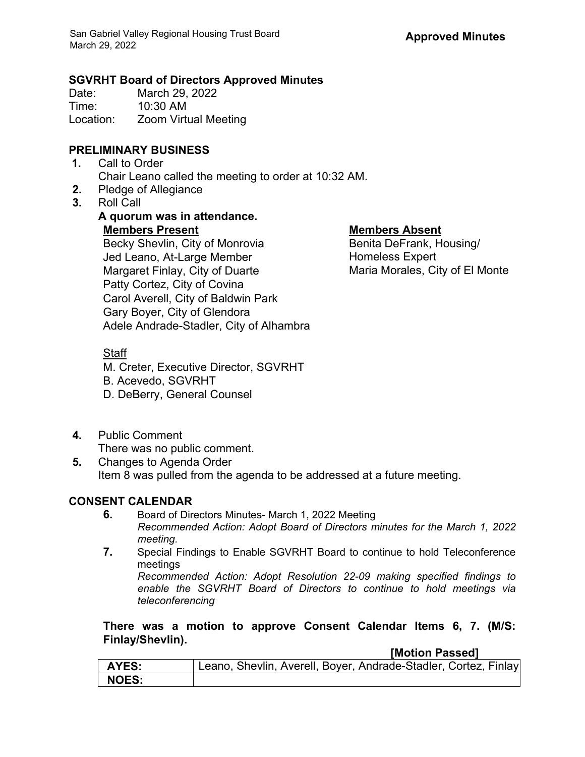## **SGVRHT Board of Directors Approved Minutes**

Date: March 29, 2022<br>Time: 10:30 AM 10:30 AM Location: Zoom Virtual Meeting

# **PRELIMINARY BUSINESS**

- **1.** Call to Order Chair Leano called the meeting to order at 10:32 AM.
- **2.** Pledge of Allegiance
- **3.** Roll Call

## **A quorum was in attendance. Members Present Members Absent** Becky Shevlin, City of Monrovia Jed Leano, At-Large Member Margaret Finlay, City of Duarte Patty Cortez, City of Covina Carol Averell, City of Baldwin Park Gary Boyer, City of Glendora

Benita DeFrank, Housing/ Homeless Expert Maria Morales, City of El Monte

## **Staff**

M. Creter, Executive Director, SGVRHT

Adele Andrade-Stadler, City of Alhambra

- B. Acevedo, SGVRHT
- D. DeBerry, General Counsel
- **4.** Public Comment There was no public comment.
- **5.** Changes to Agenda Order Item 8 was pulled from the agenda to be addressed at a future meeting.

# **CONSENT CALENDAR**

- **6.** Board of Directors Minutes- March 1, 2022 Meeting *Recommended Action: Adopt Board of Directors minutes for the March 1, 2022 meeting.*
- **7.** Special Findings to Enable SGVRHT Board to continue to hold Teleconference meetings

*Recommended Action: Adopt Resolution 22-09 making specified findings to enable the SGVRHT Board of Directors to continue to hold meetings via teleconferencing*

**There was a motion to approve Consent Calendar Items 6, 7. (M/S: Finlay/Shevlin).**

**[Motion Passed]**

| <b>AYES:</b> | Leano, Shevlin, Averell, Boyer, Andrade-Stadler, Cortez, Finlay |
|--------------|-----------------------------------------------------------------|
| <b>NOES:</b> |                                                                 |